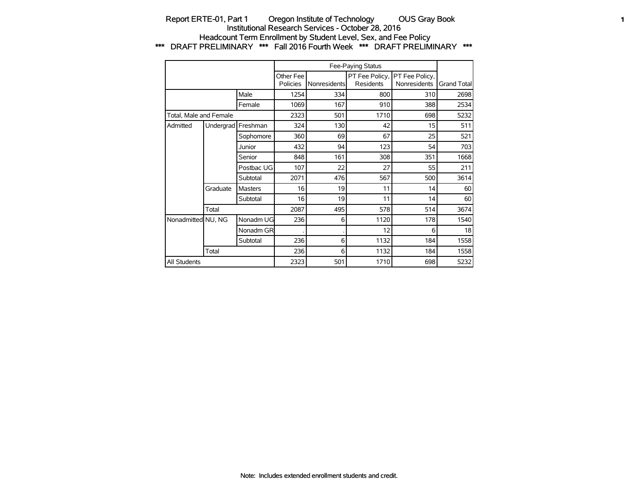### Report ERTE-01, Part 1 Oregon Institute of Technology OUS Gray Book **1** 1 Institutional Research Services - October 28, 2016 Headcount Term Enrollment by Student Level, Sex, and Fee Policy \*\*\* DRAFT PRELIMINARY \*\*\* Fall 2016 Fourth Week \*\*\* DRAFT PRELIMINARY \*\*\*

|                        |                    |                |                       |              | Fee-Paying Status |                                               |             |
|------------------------|--------------------|----------------|-----------------------|--------------|-------------------|-----------------------------------------------|-------------|
|                        |                    |                | Other Fee<br>Policies | Nonresidents | <b>Residents</b>  | PT Fee Policy, PT Fee Policy,<br>Nonresidents | Grand Total |
|                        |                    | Male           | 1254                  | 334          | 800               | 310                                           | 2698        |
|                        |                    | Female         | 1069                  | 167          | 910               | 388                                           | 2534        |
| Total, Male and Female |                    |                | 2323                  | 501          | 1710              | 698                                           | 5232        |
| Admitted               | Undergrad Freshman |                | 324                   | 130          | 42                | 15                                            | 511         |
|                        |                    | Sophomore      | 360                   | 69           | 67                | 25                                            | 521         |
|                        |                    | Junior         | 432                   | 94           | 123               | 54                                            | 703         |
|                        |                    | Senior         | 848                   | 161          | 308               | 351                                           | 1668        |
|                        |                    | Postbac UG     | 107                   | 22           | 27                | 55                                            | 211         |
|                        |                    | Subtotal       | 2071                  | 476          | 567               | 500                                           | 3614        |
|                        | Graduate           | <b>Masters</b> | 16                    | 19           | 11                | 14                                            | 60          |
|                        |                    | Subtotal       | 16                    | 19           | 11                | 14                                            | 60          |
|                        | Total              |                | 2087                  | 495          | 578               | 514                                           | 3674        |
| Nonadmitted NU, NG     |                    | Nonadm UG      | 236                   | 6            | 1120              | 178                                           | 1540        |
|                        |                    | Nonadm GR      |                       |              | 12                | 6                                             | 18          |
|                        |                    | Subtotal       | 236                   | 6            | 1132              | 184                                           | 1558        |
|                        | Total              |                | 236                   | 6            | 1132              | 184                                           | 1558        |
| All Students           |                    |                | 2323                  | 501          | 1710              | 698                                           | 5232        |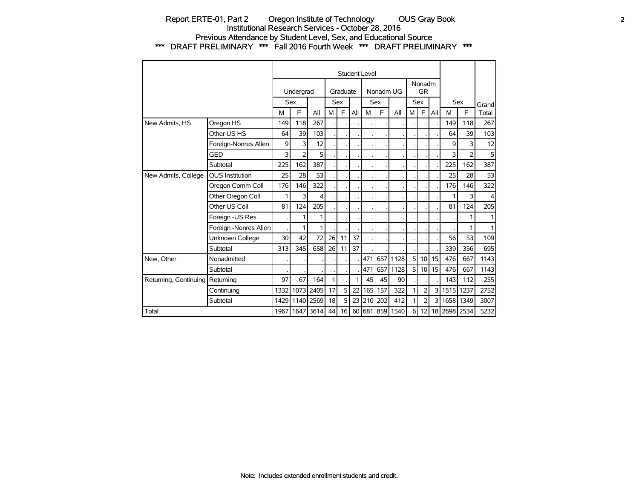### Report ERTE-01, Part 2 Oregon Institute of Technology OUS Gray Book **2** Institutional Research Services - October 28, 2016 Previous Attendance by Student Level, Sex, and Educational Source \*\*\* DRAFT PRELIMINARY \*\*\* Fall 2016 Fourth Week \*\*\* DRAFT PRELIMINARY \*\*\*

|                       |                        |      |                |      |    |                |     | Student Level    |            |                 |   |                     |       |              |                |         |
|-----------------------|------------------------|------|----------------|------|----|----------------|-----|------------------|------------|-----------------|---|---------------------|-------|--------------|----------------|---------|
|                       |                        |      | Undergrad      |      |    | Graduate       |     |                  | Nonadm UG  |                 |   | Nonadm<br><b>GR</b> |       |              |                |         |
|                       |                        |      | <b>Sex</b>     |      |    | Sex            |     |                  | <b>Sex</b> |                 |   | Sex                 |       |              | <b>Sex</b>     | Grand   |
|                       |                        | M    | E              | All  | M  | E              | All | M                | E          | All             | M | $\mathsf{F}$        | All   | M            | F              | Total   |
| New Admits, HS        | Oregon HS              | 149  | 118            | 267  |    |                |     |                  |            |                 |   |                     |       | 149          | 118            | 267     |
|                       | Other US HS            | 64   | 39             | 103  |    |                |     |                  |            |                 |   |                     |       | 64           | 39             | 103     |
|                       | Foreign-Nonres Alien   | 9    | 3              | 12   |    |                |     |                  |            |                 |   |                     |       | 9            | 3              | 12      |
|                       | <b>GED</b>             | 3    | $\overline{2}$ | 5    |    |                |     |                  |            |                 |   |                     |       | 3            | $\overline{2}$ | 5       |
|                       | Subtotal               | 225  | 162            | 387  |    |                |     |                  |            |                 |   |                     |       | 225          | 162            | 387     |
| New Admits, College   | <b>OUS Institution</b> | 25   | 28             | 53   |    |                |     |                  |            |                 |   |                     |       | 25           | 28             | 53      |
|                       | Oregon Comm Coll       | 176  | 146            | 322  |    |                |     |                  |            |                 |   |                     |       | 176          | 146            | 322     |
|                       | Other Oregon Coll      | 1    | 3              | 4    |    |                |     |                  |            |                 |   |                     |       |              | 3              | $\vert$ |
|                       | Other US Coll          | 81   | 124            | 205  |    |                |     |                  |            |                 |   |                     |       | 81           | 124            | 205     |
|                       | Foreign -US Res        |      | 1              | 1    |    |                |     |                  |            |                 |   |                     |       |              | 1              | 1       |
|                       | Foreign -Nonres Alien  |      | 1              | 1    |    |                |     |                  |            |                 |   |                     |       |              | 1              | 1       |
|                       | Unknown College        | 30   | 42             | 72   | 26 | 11             | 37  |                  |            |                 |   |                     |       | 56           | 53             | 109     |
|                       | Subtotal               | 313  | 345            | 658  | 26 | 11             | 37  |                  |            |                 |   |                     |       | 339          | 356            | 695     |
| New, Other            | Nonadmitted            |      |                |      |    |                |     | 471              | 657        | 1128            | 5 |                     | 10 15 | 476          | 667            | 1143    |
|                       | Subtotal               |      |                |      |    |                |     | 471              | 657        | 1128            | 5 | 10                  | 15    | 476          | 667            | 1143    |
| Returning, Continuing | Returning              | 97   | 67             | 164  | 1  |                | 1   | 45               | 45         | 90              |   |                     |       | 143          | 112            | 255     |
|                       | Continuing             | 1332 | 1073           | 2405 | 17 | 5 <sup>1</sup> | 22  | 165 <sub>1</sub> | 157        | 322             | 1 | 2                   | 3     | 1515 1237    |                | 2752    |
|                       | Subtotal               | 1429 | 1140           | 2569 | 18 | 5 <sup>1</sup> | 23  | 210              | 202        | 412             | 1 | 2                   | 3     | 1658         | 1349           | 3007    |
| Total                 |                        | 1967 | 1647           | 3614 | 44 | 16             |     |                  |            | 60 681 859 1540 | 6 | 12                  |       | 18 2698 2534 |                | 5232    |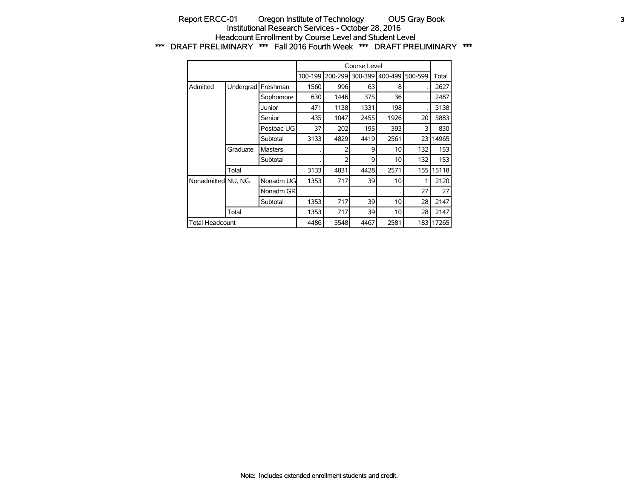#### Report ERCC-01 Oregon Institute of Technology OUS Gray Book **3** Institutional Research Services - October 28, 2016 Headcount Enrollment by Course Level and Student Level \*\*\* DRAFT PRELIMINARY \*\*\* Fall 2016 Fourth Week \*\*\* DRAFT PRELIMINARY \*\*\*

|                        |           |                |         |         | Course Level |                 |         |       |
|------------------------|-----------|----------------|---------|---------|--------------|-----------------|---------|-------|
|                        |           |                | 100-199 | 200-299 | 300-399      | 400-499         | 500-599 | Total |
| Admitted               | Undergrad | Freshman       | 1560    | 996     | 63           | 8               |         | 2627  |
|                        |           | Sophomore      | 630     | 1446    | 375          | 36              |         | 2487  |
|                        |           | Junior         | 471     | 1138    | 1331         | 198             |         | 3138  |
|                        |           | Senior         | 435     | 1047    | 2455         | 1926            | 20      | 5883  |
|                        |           | Postbac UG     | 37      | 202     | 195          | 393             | 3       | 830   |
|                        |           | Subtotal       | 3133    | 4829    | 4419         | 2561            | 23      | 14965 |
|                        | Graduate  | <b>Masters</b> |         |         | 9            | 10              | 132     | 153   |
|                        |           | Subtotal       |         | フ       | 9            | 10              | 132     | 153   |
|                        | Total     |                | 3133    | 4831    | 4428         | 2571            | 155     | 15118 |
| Nonadmitted NU, NG     |           | Nonadm UG      | 1353    | 717     | 39           | 10 <sup>1</sup> |         | 2120  |
|                        |           | Nonadm GR      |         |         |              |                 | 27      | 27    |
|                        |           | Subtotal       | 1353    | 717     | 39           | 10              | 28      | 2147  |
|                        | Total     |                | 1353    | 717     | 39           | 10              | 28      | 2147  |
| <b>Total Headcount</b> |           |                | 4486    | 5548    | 4467         | 2581            | 183     | 17265 |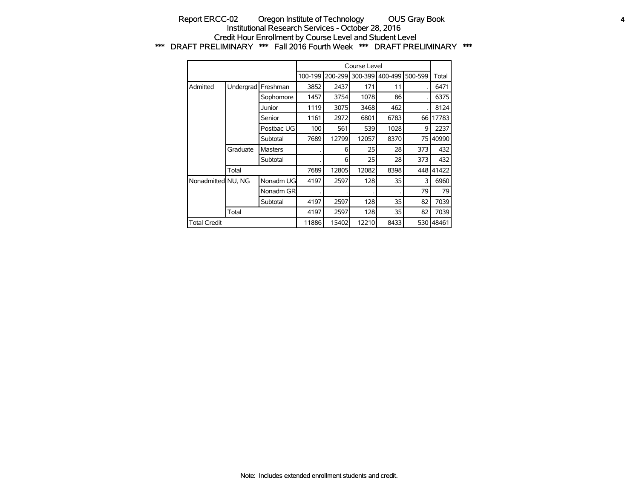### Report ERCC-02 Oregon Institute of Technology OUS Gray Book **4** Institutional Research Services - October 28, 2016 Credit Hour Enrollment by Course Level and Student Level \*\*\* DRAFT PRELIMINARY \*\*\* Fall 2016 Fourth Week \*\*\* DRAFT PRELIMINARY \*\*\*

|                     |           |                |         |         | Course Level |         |         |       |
|---------------------|-----------|----------------|---------|---------|--------------|---------|---------|-------|
|                     |           |                | 100-199 | 200-299 | 300-399      | 400-499 | 500-599 | Total |
| Admitted            | Undergrad | Freshman       | 3852    | 2437    | 171          | 11      |         | 6471  |
|                     |           | Sophomore      | 1457    | 3754    | 1078         | 86      |         | 6375  |
|                     |           | Junior         | 1119    | 3075    | 3468         | 462     |         | 8124  |
|                     |           | Senior         | 1161    | 2972    | 6801         | 6783    | 66      | 17783 |
|                     |           | Postbac UG     | 100     | 561     | 539          | 1028    | 9       | 2237  |
|                     |           | Subtotal       | 7689    | 12799   | 12057        | 8370    | 75      | 40990 |
|                     | Graduate  | <b>Masters</b> |         | 6       | 25           | 28      | 373     | 432   |
|                     |           | Subtotal       |         | 6       | 25           | 28      | 373     | 432   |
|                     | Total     |                | 7689    | 12805   | 12082        | 8398    | 448 l   | 41422 |
| Nonadmitted NU, NG  |           | Nonadm UG      | 4197    | 2597    | 128          | 35      | 3       | 6960  |
|                     |           | Nonadm GR      |         |         |              |         | 79      | 79    |
|                     |           | Subtotal       | 4197    | 2597    | 128          | 35      | 82      | 7039  |
|                     | Total     |                | 4197    | 2597    | 128          | 35      | 82      | 7039  |
| <b>Total Credit</b> |           |                | 11886   | 15402   | 12210        | 8433    | 530     | 48461 |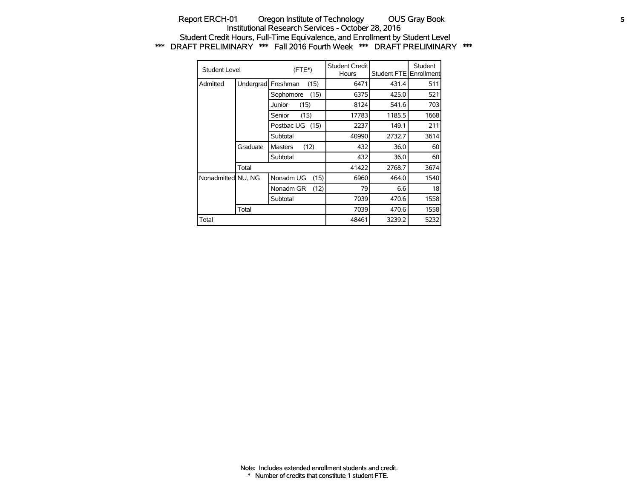#### Report ERCH-01 Oregon Institute of Technology OUS Gray Book **5** Institutional Research Services - October 28, 2016 Student Credit Hours, Full-Time Equivalence, and Enrollment by Student Level \*\*\* DRAFT PRELIMINARY \*\*\* Fall 2016 Fourth Week \*\*\* DRAFT PRELIMINARY \*\*\*

| Student Level      |           | (FTE*)                 |      | Student Credit<br>Hours | Student FTE | Student<br>Enrollment |
|--------------------|-----------|------------------------|------|-------------------------|-------------|-----------------------|
| Admitted           | Undergrad | Freshman               | (15) | 6471                    | 431.4       | 511                   |
|                    |           | Sophomore              | (15) | 6375                    | 425.0       | 521                   |
|                    |           | Junior<br>(15)         |      | 8124                    | 541.6       | 703                   |
|                    |           | (15)<br>Senior         |      | 17783                   | 1185.5      | 1668                  |
|                    |           | Postbac UG (15)        |      | 2237                    | 149.1       | 211                   |
|                    |           | Subtotal               |      | 40990                   | 2732.7      | 3614                  |
|                    | Graduate  | (12)<br><b>Masters</b> |      | 432                     | 36.0        | 60                    |
|                    |           | Subtotal               |      | 432                     | 36.0        | 60                    |
|                    | Total     |                        |      | 41422                   | 2768.7      | 3674                  |
| Nonadmitted NU, NG |           | Nonadm UG              | (15) | 6960                    | 464.0       | 1540                  |
|                    |           | Nonadm GR              | (12) | 79                      | 6.6         | 18                    |
|                    |           | Subtotal               |      | 7039                    | 470.6       | 1558                  |
|                    | Total     |                        |      | 7039                    | 470.6       | 1558                  |
| Total              |           |                        |      | 48461                   | 3239.2      | 5232                  |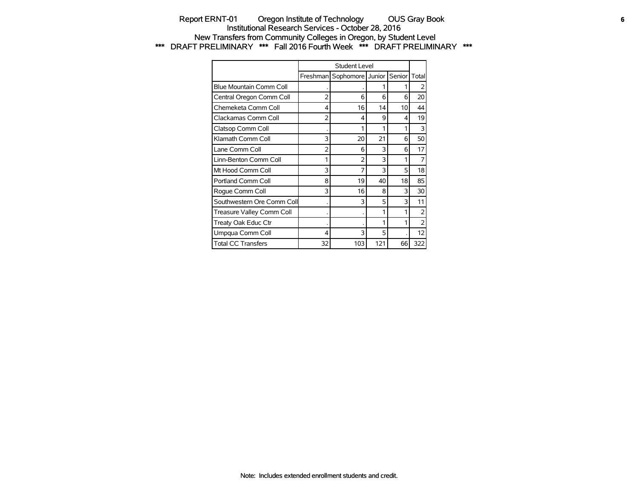## Report ERNT-01 Oregon Institute of Technology OUS Gray Book **6** Institutional Research Services - October 28, 2016 New Transfers from Community Colleges in Oregon, by Student Level \*\*\* DRAFT PRELIMINARY \*\*\* Fall 2016 Fourth Week \*\*\* DRAFT PRELIMINARY \*\*\*

|                            |                | Student Level    |     |        |                |
|----------------------------|----------------|------------------|-----|--------|----------------|
|                            | Freshman       | Sophomore Junior |     | Senior | Total          |
| Blue Mountain Comm Coll    |                |                  |     |        |                |
| Central Oregon Comm Coll   | $\overline{2}$ | 6                | 6   | 6      | 20             |
| Chemeketa Comm Coll        | 4              | 16               | 14  | 10     | 44             |
| Clackamas Comm Coll        | $\overline{2}$ | 4                | 9   | 4      | 19             |
| Clatsop Comm Coll          |                | 1                | 1   |        | 3              |
| Klamath Comm Coll          | 3              | 20               | 21  | 6      | 50             |
| Lane Comm Coll             | $\overline{2}$ | 6                | 3   | 6      | 17             |
| Linn-Benton Comm Coll      | 1              | $\overline{2}$   | 3   | 1      | 7              |
| Mt Hood Comm Coll          | 3              | 7                | 3   | 5      | 18             |
| Portland Comm Coll         | 8              | 19               | 40  | 18     | 85             |
| Roque Comm Coll            | 3              | 16               | 8   | 3      | 30             |
| Southwestern Ore Comm Coll |                | 3                | 5   | 3      | 11             |
| Treasure Valley Comm Coll  |                |                  | 1   |        | $\overline{2}$ |
| Treaty Oak Educ Ctr        |                |                  | 1   |        | $\overline{2}$ |
| Umpqua Comm Coll           | 4              | 3                | 5   |        | 12             |
| <b>Total CC Transfers</b>  | 32             | 103              | 121 | 66     | 322            |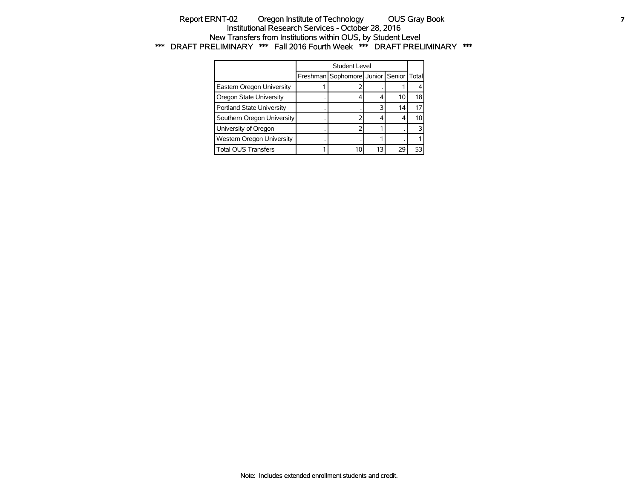#### Report ERNT-02 Oregon Institute of Technology OUS Gray Book **7** Institutional Research Services - October 28, 2016 New Transfers from Institutions within OUS, by Student Level \*\*\* DRAFT PRELIMINARY \*\*\* Fall 2016 Fourth Week \*\*\* DRAFT PRELIMINARY \*\*\*

|                            | Student Level                          |    |    |    |
|----------------------------|----------------------------------------|----|----|----|
|                            | Freshman Sophomore Junior Senior Total |    |    |    |
| Eastern Oregon University  |                                        |    |    |    |
| Oregon State University    | 4                                      |    | 10 | 18 |
| Portland State University  |                                        |    | 14 | 17 |
| Southern Oregon University |                                        |    |    | 10 |
| University of Oregon       |                                        |    |    |    |
| Western Oregon University  |                                        |    |    |    |
| <b>Total OUS Transfers</b> |                                        | 13 | 29 | 53 |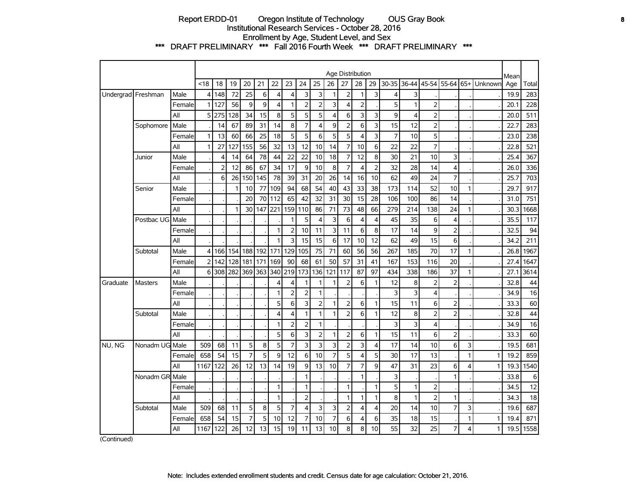## Report ERDD-01 Oregon Institute of Technology OUS Gray Book **8** Institutional Research Services - October 28, 2016 Enrollment by Age, Student Level, and Sex \*\*\* DRAFT PRELIMINARY \*\*\* Fall 2016 Fourth Week \*\*\* DRAFT PRELIMINARY \*\*\*

|                    |                |        |                |                |     |                |     |                |                |                         |                |                | Age Distribution |                |                |                |                |                         |                |   |         | Mean |       |
|--------------------|----------------|--------|----------------|----------------|-----|----------------|-----|----------------|----------------|-------------------------|----------------|----------------|------------------|----------------|----------------|----------------|----------------|-------------------------|----------------|---|---------|------|-------|
|                    |                |        | < 18           | 18             | 19  | 20             | 21  | 22             | 23             | 24                      | 25             | 26             | 27               | 28             | 29             | 30-35          | 36-44          | 45-54                   | 55-64 65+      |   | Unknown | Age  | Total |
| Undergrad Freshman |                | Male   | 4              | 148            | 72  | 25             | 6   | $\overline{4}$ | 4              | 3                       | 3              | 1              | $\overline{2}$   | 1              | 3              | 4              | 3              |                         |                |   |         | 19.9 | 283   |
|                    |                | Female | 1              | 127            | 56  | 9              | 9   | $\overline{4}$ | 1              | $\overline{2}$          | 2              | 3              | $\overline{4}$   | $\overline{2}$ |                | 5              | $\mathbf{1}$   | $\overline{2}$          |                |   |         | 20.1 | 228   |
|                    |                | All    | 5              | 275            | 128 | 34             | 15  | 8              | 5              | 5                       | 5              | 4              | 6                | 3              | 3              | 9              | $\overline{4}$ | $\overline{2}$          |                |   |         | 20.0 | 511   |
|                    | Sophomore      | Male   |                | 14             | 67  | 89             | 31  | 14             | 8              | $\overline{7}$          | 4              | 9              | $\overline{2}$   | 6              | 3              | 15             | 12             | $\overline{2}$          |                |   |         | 22.7 | 283   |
|                    |                | Female | 1              | 13             | 60  | 66             | 25  | 18             | 5              | 5                       | 6              | 5              | 5                | $\overline{4}$ | 3              | $\overline{7}$ | 10             | 5                       |                |   |         | 23.0 | 238   |
|                    |                | All    | 1              | 27             | 127 | 155            | 56  | 32             | 13             | 12                      | 10             | 14             | $\overline{7}$   | 10             | 6              | 22             | 22             | $\overline{7}$          |                |   |         | 22.8 | 521   |
|                    | Junior         | Male   |                | 4              | 14  | 64             | 78  | 44             | 22             | 22                      | 10             | 18             | 7                | 12             | 8              | 30             | 21             | 10                      | 3              |   |         | 25.4 | 367   |
|                    |                | Female |                | $\overline{2}$ | 12  | 86             | 67  | 34             | 17             | 9                       | 10             | 8              | $\overline{7}$   | $\overline{4}$ | $\overline{2}$ | 32             | 28             | 14                      | 4              |   |         | 26.0 | 336   |
|                    |                | All    |                | 6              | 26  | 150            | 145 | 78             | 39             | 31                      | 20             | 26             | 14               | 16             | 10             | 62             | 49             | 24                      | $\overline{7}$ |   |         | 25.7 | 703   |
|                    | Senior         | Male   |                |                | 1   | 10             | 77  | 109            | 94             | 68                      | 54             | 40             | 43               | 33             | 38             | 173            | 114            | 52                      | 10             | 1 |         | 29.7 | 917   |
|                    |                | Female |                |                |     | 20             | 70  | 112            | 65             | 42                      | 32             | 31             | 30               | 15             | 28             | 106            | 100            | 86                      | 14             |   |         | 31.0 | 751   |
|                    |                | All    |                |                | 1   | 30             | 147 | 221            | 159            | 110                     | 86             | 71             | 73               | 48             | 66             | 279            | 214            | 138                     | 24             | 1 |         | 30.3 | 1668  |
|                    | Postbac UG     | Male   |                |                |     |                |     |                |                | 5                       | 4              | 3              | 6                | $\overline{4}$ | 4              | 45             | 35             | 6                       | 4              |   |         | 35.5 | 117   |
|                    |                | Female |                |                |     |                |     | $\mathbf{1}$   | $\overline{2}$ | 10                      | 11             | 3              | 11               | 6              | 8              | 17             | 14             | 9                       | $\overline{2}$ |   |         | 32.5 | 94    |
|                    |                | All    |                |                |     |                |     | 1              | 3              | 15                      | 15             | 6              | 17               | 10             | 12             | 62             | 49             | 15                      | 6              |   |         | 34.2 | 211   |
|                    | Subtotal       | Male   | 4              | 166            | 154 | 188            | 192 | 171            | 129            | 105                     | 75             | 71             | 60               | 56             | 56             | 267            | 185            | 70                      | 17             | 1 |         | 26.8 | 1967  |
|                    |                | Female | $\overline{2}$ | 142            | 128 | 181            | 171 | 169            | 90             | 68                      | 61             | 50             | 57               | 31             | 41             | 167            | 153            | 116                     | 20             |   |         | 27.4 | 1647  |
|                    |                | All    | 6              | 308            | 282 | 369            | 363 | 340            | 219            | 173                     | 136            | 121            | 117              | 87             | 97             | 434            | 338            | 186                     | 37             | 1 |         | 27.1 | 3614  |
| Graduate           | <b>Masters</b> | Male   |                |                |     |                |     | 4              | 4              | $\mathbf{1}$            | $\mathbf{1}$   | 1              | $\overline{2}$   | 6              | 1              | 12             | 8              | $\overline{2}$          | $\overline{2}$ |   |         | 32.8 | 44    |
|                    |                | Female |                |                |     |                |     | $\mathbf{1}$   | $\overline{2}$ | $\overline{2}$          | 1              |                |                  |                |                | 3              | 3              | 4                       |                |   |         | 34.9 | 16    |
|                    |                | All    |                |                |     |                |     | 5              | 6              | 3                       | $\overline{2}$ | 1              | $\overline{2}$   | 6              | 1              | 15             | 11             | 6                       | 2              |   |         | 33.3 | 60    |
|                    | Subtotal       | Male   |                |                |     |                |     | $\overline{4}$ | 4              | $\mathbf{1}$            | 1              | $\mathbf{1}$   | $\overline{2}$   | 6              | 1              | 12             | 8              | $\overline{2}$          | $\overline{2}$ |   |         | 32.8 | 44    |
|                    |                | Female |                |                |     |                |     | $\mathbf{1}$   | 2              | $\overline{2}$          | 1              |                |                  |                |                | 3              | 3              | $\overline{\mathbf{4}}$ |                |   |         | 34.9 | 16    |
|                    |                | All    |                |                |     |                |     | 5              | 6              | 3                       | $\overline{2}$ | 1              | $\overline{2}$   | 6              | 1              | 15             | 11             | 6                       | $\overline{2}$ |   |         | 33.3 | 60    |
| NU, NG             | Nonadm UG Male |        | 509            | 68             | 11  | 5              | 8   | 5              | $\overline{7}$ | 3                       | 3              | 3              | $\overline{2}$   | 3              | 4              | 17             | 14             | 10                      | 6              | 3 |         | 19.5 | 681   |
|                    |                | Female | 658            | 54             | 15  | $\overline{7}$ | 5   | 9              | 12             | 6                       | 10             | $\overline{7}$ | 5                | $\overline{4}$ | 5              | 30             | 17             | 13                      |                | 1 | 1       | 19.2 | 859   |
|                    |                | All    | 1167           | 122            | 26  | 12             | 13  | 14             | 19             | 9                       | 13             | 10             | $\overline{7}$   | 7              | 9              | 47             | 31             | 23                      | 6              | 4 | 1       | 19.3 | 1540  |
|                    | Nonadm GR      | Male   |                |                |     |                |     |                |                | $\mathbf{1}$            |                |                |                  | $\mathbf{1}$   |                | 3              |                |                         | 1              |   |         | 33.8 | 6     |
|                    |                | Female |                |                |     |                |     | $\mathbf{1}$   |                | $\mathbf{1}$            |                |                | 1                |                | 1              | 5              | $\mathbf{1}$   | $\overline{2}$          |                |   |         | 34.5 | 12    |
|                    |                | All    |                |                |     |                |     | $\mathbf{1}$   |                | $\overline{2}$          |                |                | $\mathbf{1}$     | $\mathbf{1}$   | 1              | 8              | $\mathbf{1}$   | $\overline{2}$          | $\mathbf{1}$   |   |         | 34.3 | 18    |
|                    | Subtotal       | Male   | 509            | 68             | 11  | 5              | 8   | 5              | 7              | $\overline{\mathbf{4}}$ | 3              | 3              | $\overline{2}$   | 4              | 4              | 20             | 14             | 10                      | $\overline{7}$ | 3 |         | 19.6 | 687   |
|                    |                | Female | 658            | 54             | 15  | $\overline{7}$ | 5   | 10             | 12             | $\overline{7}$          | 10             | $\overline{7}$ | 6                | 4              | 6              | 35             | 18             | 15                      |                | 1 | 1       | 19.4 | 871   |
|                    |                | All    | 1167           | 122            | 26  | 12             | 13  | 15             | 19             | 11                      | 13             | 10             | 8                | 8              | 10             | 55             | 32             | 25                      | $\overline{7}$ | 4 | 1       | 19.5 | 1558  |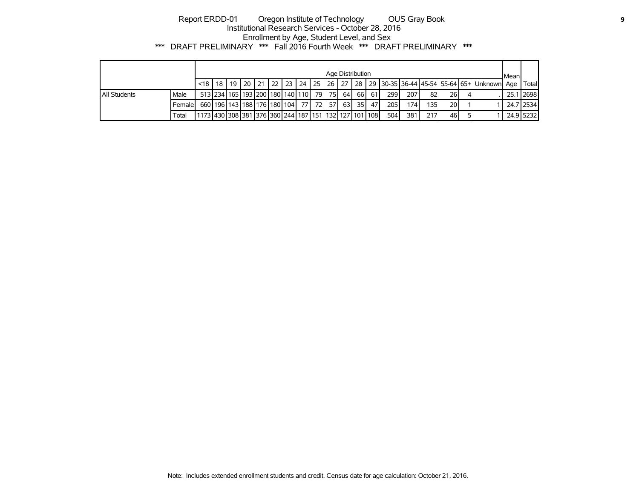# Report ERDD-01 Oregon Institute of Technology OUS Gray Book **9** Institutional Research Services - October 28, 2016 Enrollment by Age, Student Level, and Sex \*\*\* DRAFT PRELIMINARY \*\*\* Fall 2016 Fourth Week \*\*\* DRAFT PRELIMINARY \*\*\*

|                     |         |                                                       |                                      |  |  |  |         |      | Age Distribution |            |             |             |      |    |                                                                                                            | Mean |              |
|---------------------|---------|-------------------------------------------------------|--------------------------------------|--|--|--|---------|------|------------------|------------|-------------|-------------|------|----|------------------------------------------------------------------------------------------------------------|------|--------------|
|                     |         | $<$ 18 $\mid$ 18                                      |                                      |  |  |  |         |      |                  |            |             |             |      |    | 19   20   21   22   23   24   25   26   27   28   29   30-35   36-44   45-54   55-64   65+   Unknown   Age |      | <b>Total</b> |
| <b>All Students</b> | Male    |                                                       | 513 234 165 193 200 180 140 110      |  |  |  | 79 75 L | 64 I |                  | 66 61 61 I | <b>2991</b> | <b>2071</b> | 82 I | 26 |                                                                                                            |      | 25.1 2698    |
|                     | Femalel |                                                       | 660 196 143 188 176 180 104 77 72 57 |  |  |  |         | 63 l |                  | 35   47    | 205 l       | 174 I       | 135  | 20 |                                                                                                            |      | 24.7 2534    |
|                     | Total   | 11173 430 308 381 376 360 244 187 151 132 127 101 108 |                                      |  |  |  |         |      |                  |            | 504 l       | 381         | 217  | 46 |                                                                                                            |      | 24.9 5232    |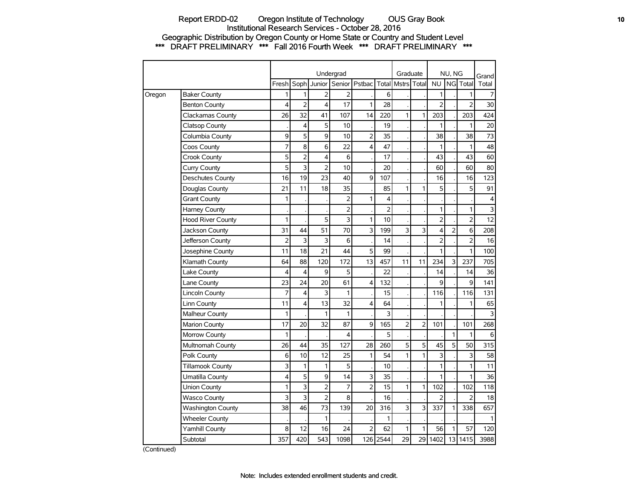### Report ERDD-02 Oregon Institute of Technology OUS Gray Book **10** Institutional Research Services - October 28, 2016 Geographic Distribution by Oregon County or Home State or Country and Student Level \*\*\* DRAFT PRELIMINARY \*\*\* Fall 2016 Fourth Week \*\*\* DRAFT PRELIMINARY \*\*\*

|        |                          |                |                |                         | Undergrad      |                |                | Graduate       |              |                | NU, NG         |                  | Grand                   |
|--------|--------------------------|----------------|----------------|-------------------------|----------------|----------------|----------------|----------------|--------------|----------------|----------------|------------------|-------------------------|
|        |                          | Fresh          | Soph           | Junior                  | Senior         | Pstbac         | Total          | <b>Mstrs</b>   | Total        | <b>NU</b>      | NG             | Total            | Total                   |
| Oregon | <b>Baker County</b>      | 1              | 1              | $\overline{2}$          | 2              |                | 6              |                |              | 1              |                | 1                | 7                       |
|        | <b>Benton County</b>     | 4              | $\overline{2}$ | $\overline{\mathbf{4}}$ | 17             | 1              | 28             |                |              | $\overline{2}$ |                | $\overline{2}$   | 30                      |
|        | Clackamas County         | 26             | 32             | 41                      | 107            | 14             | 220            | $\mathbf{1}$   | $\mathbf{1}$ | 203            |                | 203              | 424                     |
|        | <b>Clatsop County</b>    |                | 4              | 5                       | 10             |                | 19             |                |              | $\mathbf{1}$   |                | 1                | 20                      |
|        | Columbia County          | 9              | 5              | 9                       | 10             | $\overline{2}$ | 35             |                |              | 38             |                | 38               | 73                      |
|        | Coos County              | $\overline{7}$ | 8              | 6                       | 22             | 4              | 47             |                |              | 1              |                | 1                | 48                      |
|        | Crook County             | 5              | $\overline{2}$ | $\overline{\mathbf{4}}$ | 6              |                | 17             |                |              | 43             |                | 43               | 60                      |
|        | Curry County             | 5              | 3              | $\overline{2}$          | 10             |                | 20             |                |              | 60             |                | 60               | 80                      |
|        | <b>Deschutes County</b>  | 16             | 19             | 23                      | 40             | 9              | 107            |                |              | 16             |                | 16               | 123                     |
|        | Douglas County           | 21             | 11             | 18                      | 35             |                | 85             | 1              | 1            | 5              |                | 5                | 91                      |
|        | <b>Grant County</b>      | 1              |                |                         | $\overline{2}$ | 1              | 4              |                |              |                |                |                  | $\overline{\mathbf{4}}$ |
|        | Harney County            |                |                |                         | $\overline{2}$ |                | $\overline{2}$ |                |              | $\mathbf{1}$   |                | 1                | 3                       |
|        | <b>Hood River County</b> | 1              |                | 5                       | 3              | 1              | 10             |                |              | $\overline{2}$ |                | $\overline{2}$   | 12                      |
|        | Jackson County           | 31             | 44             | 51                      | 70             | 3              | 199            | 3              | 3            | 4              | $\overline{2}$ | $\boldsymbol{6}$ | 208                     |
|        | Jefferson County         | $\overline{2}$ | 3              | 3                       | 6              |                | 14             |                |              | $\overline{2}$ |                | $\overline{2}$   | 16                      |
|        | Josephine County         | 11             | 18             | 21                      | 44             | 5              | 99             |                |              | $\mathbf{1}$   |                | $\mathbf{1}$     | 100                     |
|        | Klamath County           | 64             | 88             | 120                     | 172            | 13             | 457            | 11             | 11           | 234            | 3              | 237              | 705                     |
|        | Lake County              | 4              | $\overline{4}$ | 9                       | 5              |                | 22             |                |              | 14             |                | 14               | 36                      |
|        | Lane County              | 23             | 24             | 20                      | 61             | 4              | 132            |                |              | 9              |                | 9                | 141                     |
|        | <b>Lincoln County</b>    | 7              | 4              | 3                       | 1              |                | 15             |                |              | 116            |                | 116              | 131                     |
|        | Linn County              | 11             | 4              | 13                      | 32             | 4              | 64             |                |              | 1              |                | 1                | 65                      |
|        | Malheur County           | 1              |                | 1                       | 1              |                | 3              |                |              |                |                |                  | 3                       |
|        | Marion County            | 17             | 20             | 32                      | 87             | 9              | 165            | $\overline{2}$ | 2            | 101            |                | 101              | 268                     |
|        | Morrow County            | 1              |                |                         | 4              |                | 5              |                |              |                | 1              | 1                | 6                       |
|        | Multnomah County         | 26             | 44             | 35                      | 127            | 28             | 260            | 5              | 5            | 45             | 5              | 50               | 315                     |
|        | Polk County              | 6              | 10             | 12                      | 25             | 1              | 54             | 1              | 1            | 3              |                | 3                | 58                      |
|        | <b>Tillamook County</b>  | 3              | $\mathbf{1}$   | $\mathbf{1}$            | 5              |                | 10             |                |              | $\mathbf{1}$   |                | $\mathbf{1}$     | 11                      |
|        | Umatilla County          | 4              | 5              | 9                       | 14             | 3              | 35             |                |              | 1              |                | 1                | 36                      |
|        | Union County             | $\mathbf{1}$   | 3              | $\overline{2}$          | 7              | $\overline{2}$ | 15             | $\mathbf{1}$   | 1            | 102            |                | 102              | 118                     |
|        | <b>Wasco County</b>      | 3              | 3              | $\overline{2}$          | 8              |                | 16             |                |              | $\overline{2}$ |                | 2                | 18                      |
|        | <b>Washington County</b> | 38             | 46             | 73                      | 139            | 20             | 316            | 3              | 3            | 337            | 1              | 338              | 657                     |
|        | <b>Wheeler County</b>    |                |                | 1                       |                |                | 1              |                |              |                |                |                  | 1                       |
|        | <b>Yamhill County</b>    | 8              | 12             | 16                      | 24             | $\overline{2}$ | 62             | 1              | 1            | 56             | 1              | 57               | 120                     |
|        | Subtotal                 | 357            | 420            | 543                     | 1098           |                | 126 2544       | 29             | 29           | 1402           | 13             | 1415             | 3988                    |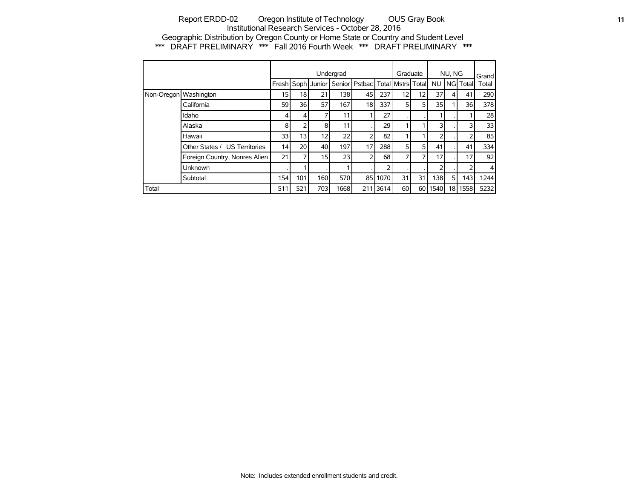### Report ERDD-02 Oregon Institute of Technology OUS Gray Book **11 11** Institutional Research Services - October 28, 2016 Geographic Distribution by Oregon County or Home State or Country and Student Level \*\*\* DRAFT PRELIMINARY \*\*\* Fall 2016 Fourth Week \*\*\* DRAFT PRELIMINARY \*\*\*

|                       |                               |                 |                 |                   | Undergrad |                 |      | Graduate            |                 |                | NU, NG |           | Grand |
|-----------------------|-------------------------------|-----------------|-----------------|-------------------|-----------|-----------------|------|---------------------|-----------------|----------------|--------|-----------|-------|
|                       |                               |                 |                 | Fresh Soph Junior |           | Senior   Pstbac |      | Total Mstrs   Total |                 | <b>NU</b>      |        | NGI Total | Total |
| Non-Oregon Washington |                               | 15 <sup>1</sup> | 18              | 21                | 138       | 45              | 237  | 12 <sub>1</sub>     | 12 <sub>1</sub> | 37             | 4      | 41        | 290   |
|                       | California                    | 59              | 36 l            | 57                | 167       | 18              | 337  | 5                   | 5 <sub>1</sub>  | 35             |        | 36        | 378   |
|                       | Idaho                         | 4               | 4               | 7                 | 11        |                 | 27   |                     |                 |                |        |           | 28    |
|                       | Alaska                        | 8               | 2               | 8                 | 11        |                 | 29   |                     |                 | 3              |        | 3         | 33    |
|                       | Hawaii                        | 33              | 13              | 12 <sub>1</sub>   | 22        | ∍               | 82   |                     |                 | 2              |        |           | 85    |
|                       | Other States / US Territories | 14              | 20 <sup>1</sup> | 40                | 197       | 17              | 288  | 5                   | 51              | 41             |        | 41        | 334   |
|                       | Foreign Country, Nonres Alien | 21              | 7 <sub>1</sub>  | 15                | 23        | 2               | 68   | 7 <sub>1</sub>      | 7               | 17             |        | 17        | 92    |
|                       | <b>Unknown</b>                |                 |                 |                   |           |                 | っ    |                     |                 | $\overline{2}$ |        | っ         | 4     |
|                       | Subtotal                      | 154             | 101             | 160               | 570       | 85 l            | 1070 | 31                  | 31              | 138            | 5      | 143       | 1244  |
| Total                 |                               | 511             | 521             | 703               | 1668      | 211             | 3614 | 60                  | 60 I            | 1540           |        | 18 1558   | 5232  |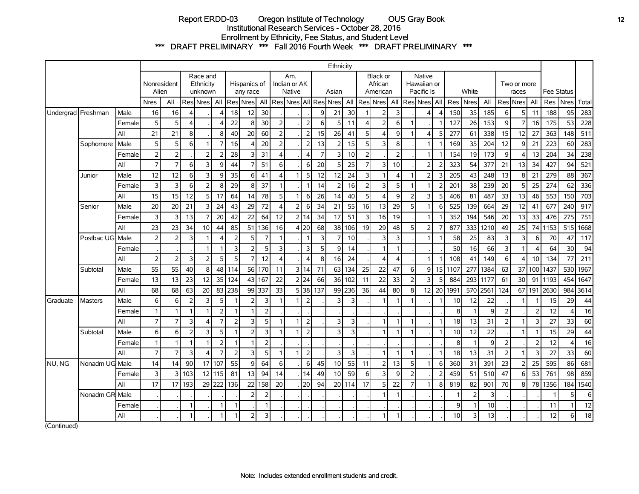# Report ERDD-03 Oregon Institute of Technology OUS Gray Book **12** Institutional Research Services - October 28, 2016 Enrollment by Ethnicity, Fee Status, and Student Level \*\*\* DRAFT PRELIMINARY \*\*\* Fall 2016 Fourth Week \*\*\* DRAFT PRELIMINARY \*\*\*

|                    |                 |        |                  |                      |                |                                  |                |                         |                          |                         |                         |                               |          |                | Ethnicity       |        |                |                                        |                         |                          |                                     |                |      |                |      |                |                      |                |                   |          |       |
|--------------------|-----------------|--------|------------------|----------------------|----------------|----------------------------------|----------------|-------------------------|--------------------------|-------------------------|-------------------------|-------------------------------|----------|----------------|-----------------|--------|----------------|----------------------------------------|-------------------------|--------------------------|-------------------------------------|----------------|------|----------------|------|----------------|----------------------|----------------|-------------------|----------|-------|
|                    |                 |        |                  | Nonresident<br>Alien |                | Race and<br>Ethnicity<br>unknown |                |                         | Hispanics of<br>any race |                         |                         | Am.<br>Indian or AK<br>Native |          |                | Asian           |        |                | <b>Black or</b><br>African<br>American |                         |                          | Native<br>Hawaiian or<br>Pacific Is |                |      | White          |      |                | Two or more<br>races |                | <b>Fee Status</b> |          |       |
|                    |                 |        | <b>Nres</b>      | All                  |                | Res <sub>Nres</sub> All          |                |                         | ResiNresi                | All                     |                         | Res  Nres  AII                |          |                | Res Nres        | All    |                | <b>Res</b> Nres                        | All                     |                          | <b>Res</b> Nres                     | l All          | Res  | Nres           | All  |                | Res Nres             | All            | Res l             | Nres     | Total |
| Undergrad Freshman |                 | Male   | 16               | 16                   |                |                                  |                | 18                      | 12                       | 30                      |                         |                               |          | q              | 21              | 30     |                | $\overline{2}$                         | 3                       |                          |                                     | $\Delta$       | 150  | 35             | 185  | 6 <sup>1</sup> | 5                    | 11             | 188               | 95       | 283   |
|                    |                 | Female | 5                | 5                    | 4              |                                  |                | 22                      | 8 <sup>1</sup>           | 30                      | $\overline{2}$          |                               |          | 6              | 5               | 11     | 4              | 2                                      | 6                       |                          |                                     |                | 127  | 26             | 153  | $\overline{9}$ | $\overline{7}$       | 16             | 175               | 53       | 228   |
|                    |                 | All    | 21               | 21                   | 8              |                                  | 8              | 40 <sup>1</sup>         | 20                       | 60                      | $\overline{2}$          |                               | 2        | 15             | 26              | 41     | 5              | $\overline{4}$                         | 9                       | 1                        | Δ                                   | 5              | 277  | 61             | 338  | 15             | 12                   | 27             | 363               | 148      | 511   |
|                    | Sophomore       | Male   | 5                | 5                    | 6              |                                  | 7              | 16                      | $\vert$                  | 20                      | $\overline{2}$          |                               | 2        | 13             | 2               | 15     | 5              | 3                                      | 8                       |                          | 1                                   |                | 169  | 35             | 204  | 12             | 9                    | 21             | 223               | 60       | 283   |
|                    |                 | Female | $\overline{2}$   | $\overline{2}$       |                | $\overline{2}$                   | $\overline{2}$ | 28                      | $\overline{3}$           | 31                      | $\overline{\mathbf{4}}$ |                               | 4        | $\overline{7}$ | 3               | 10     | $\overline{2}$ |                                        | $\overline{2}$          |                          | $\mathbf{1}$                        |                | 154  | 19             | 173  | $\overline{9}$ | $\overline{4}$       | 13             | 204               | 34       | 238   |
|                    |                 | All    | $\overline{7}$   | $\overline{7}$       | 6              | 3                                | 9              | 44                      | 7 <sup>1</sup>           | 51                      | $6 \mid$                |                               | $6 \mid$ | 20             | 5               | 25     | $\overline{7}$ | $\overline{3}$                         | 10 <sup>1</sup>         |                          | $\overline{2}$                      | $\overline{2}$ | 323  | 54             | 377  | 21             | 13                   | 34             | 427               | 94       | 521   |
|                    | Junior          | Male   | 12               | 12                   | 6              | 3                                | 9              | 35                      | 6 <sup>1</sup>           | 41                      | $\boldsymbol{\Delta}$   | 1                             | 5        | 12             | 12              | 24     | 3              |                                        | 4                       |                          | $\overline{2}$                      | 3              | 205  | 43             | 248  | 13             | 8                    | 21             | 279               | 88       | 367   |
|                    |                 | Female | 3                | 3                    | 6              | $\overline{2}$                   | 8              | 29                      | 8 <sup>1</sup>           | 37                      | $\mathbf{1}$            |                               |          | 14             | 2               | 16     | $\overline{2}$ | 3                                      | 5                       |                          | 1                                   |                | 201  | 38             | 239  | 20             | 5                    | 25             | 274               | 62       | 336   |
|                    |                 | All    | 15               | 15                   | 12             | 5 <sup>1</sup>                   | 17             | 64                      | 14                       | 78                      | 5                       | $\mathbf{1}$                  | 6        | 26             | 14              | 40     | 5              | $\overline{4}$                         | 9                       | 2                        | 3                                   | 5              | 406  | 81             | 487  | 33             | 13                   | 46             | 553               | 150      | 703   |
|                    | Senior          | Male   | 20               | 20                   | 21             | 3                                | 24             | 43                      | 29                       | 72                      | $\overline{\mathbf{A}}$ | $\overline{2}$                | $6 \mid$ | 34             | 21              | 55     | 16             | 13                                     | 29                      | 5                        | 1                                   | 6              | 525  | 139            | 664  | 29             | 12                   | 41             | 677               | 240      | 917   |
|                    |                 | Female | 3                | 3                    | 13             |                                  | 20             | 42                      | 22                       | 64                      | 12                      |                               | 2 14     | 34             | 17              | 51     | 3              | 16                                     | 19                      |                          | $\mathbf{1}$                        |                | 352  | 194            | 546  | 20             | 13                   | 33             | 476               | 275      | 751   |
|                    |                 | All    | 23               | 23                   | 34             | 10 <sup>1</sup>                  | 44             | 85                      | 51                       | 136                     | 16                      |                               | 4 20     | 68             |                 | 38 106 | 19             | 29                                     | 48                      | 5                        | $\overline{2}$                      | 7              | 877  | 333            | 1210 | 49             | 25                   | 74             | 1153              | 515      | 1668  |
|                    | Postbac UG Male |        | $\overline{2}$   | $\overline{2}$       | 3              |                                  | Δ              | $\overline{2}$          | 5 <sup>1</sup>           | 7                       | 1                       |                               |          | 3              | 7               | 10     |                | 3                                      | 3                       |                          | 1                                   |                | 58   | 25             | 83   | $\overline{3}$ | 3                    | 6              | 70                | 47       | 117   |
|                    |                 | Female |                  |                      |                |                                  |                | $\overline{\mathbf{3}}$ | 2 <sup>1</sup>           | 5                       | 3                       |                               | 3        | 5              | 9               | 14     |                |                                        | $\mathbf{1}$            |                          |                                     |                | 50   | 16             | 66   | $\overline{3}$ | $\mathbf{1}$         | Δ              | 64                | 30       | 94    |
|                    |                 | All    | $\overline{2}$   | 2                    | $\overline{3}$ | $\overline{2}$                   | 5              | 5 <sup>1</sup>          | 7 <sup>1</sup>           | 12                      | $\overline{4}$          |                               | 4        | 8              | 16              | 24     |                | $\boldsymbol{\Delta}$                  | $\overline{\mathbf{4}}$ |                          | 1                                   |                | 108  | 41             | 149  | 6 <sup>1</sup> | $\overline{4}$       | 10             | 134               | 77       | 211   |
|                    | Subtotal        | Male   | 55               | 55                   | 40             | 8                                | 48             | 114                     | 56                       | 170                     | 11                      |                               | 3 14     | 71             | 63              | 134    | 25             | 22                                     | 47                      | 6                        | q                                   | 15             | 1107 | 277            | 1384 | 63             | 37                   | 100            | 1437              | 530      | 1967  |
|                    |                 | Female | 13               | 13                   | 23             | 12                               | 35             | 124                     | 43                       | 167                     | 22                      |                               | 2 24     | 66             | 36 <sup>1</sup> | 102    | 11             | 22                                     | 33                      | $\overline{2}$           | 3                                   | 5              | 884  | 293            | 1177 | 61             | 30                   | 91             | 1193              | 454      | 1647  |
|                    |                 | All    | 68               | 68                   | 63             | 20                               | 83             | 238                     |                          | 99 337                  | 33                      |                               | 5 38     | 137            |                 | 99 236 | 36             | 44                                     | 80                      | 8                        | 12                                  | 20             | 1991 | 570            | 2561 | 124            |                      | 67 191         | 2630              | 984      | 3614  |
| Graduate           | <b>Masters</b>  | Male   | $6 \mid$         | 6                    | $\overline{2}$ | 3                                | 5              |                         | 2 <sup>1</sup>           | 3                       |                         | $\mathbf{1}$                  | 2        |                | 3               | 3      |                |                                        | 1                       |                          |                                     |                | 10   | 12             | 22   |                | 1                    |                | 15                | 29       | 44    |
|                    |                 | Female | $\mathbf{1}$     | 1                    |                |                                  | $\overline{2}$ | $\mathbf{1}$            |                          | 2                       |                         |                               |          |                |                 |        |                |                                        |                         |                          |                                     |                | 8    | 1              | 9    | $\overline{2}$ |                      | 2              | 12                | $\Delta$ | 16    |
|                    |                 | All    | $\overline{7}$   | $\overline{7}$       | 3              | $\Delta$                         | $\overline{7}$ | $\overline{2}$          | $\overline{3}$           | 5                       | $\mathbf{1}$            | 1                             | 2        |                | 3               | 3      |                |                                        | 1                       |                          |                                     |                | 18   | 13             | 31   | 2              |                      | 3              | 27                | 33       | 60    |
|                    | Subtotal        | Male   | $6 \overline{6}$ | 6                    | $\overline{2}$ | 3                                | 5              | $\mathbf{1}$            | $\overline{2}$           | $\overline{\mathbf{3}}$ | $\mathbf{1}$            | 1                             | 2        |                | 3               | 3      |                |                                        | 1                       | 1                        |                                     |                | 10   | 12             | 22   |                | 1                    |                | 15                | 29       | 44    |
|                    |                 | Female | $\mathbf{1}$     | $\mathbf{1}$         | 1              |                                  | $\overline{2}$ | $\mathbf{1}$            | $\mathbf{1}$             | $\overline{2}$          |                         |                               |          |                |                 |        |                |                                        |                         |                          |                                     |                | 8    | $\overline{1}$ | 9    | $\overline{2}$ |                      | $\overline{2}$ | 12                | 4        | 16    |
|                    |                 | All    | $\overline{7}$   | $\overline{7}$       | $\overline{3}$ | $\Delta$                         | $\overline{7}$ | $\overline{2}$          | $\overline{\mathbf{3}}$  | 5                       | $\mathbf{1}$            | $\mathbf{1}$                  | 2        |                | 3               | 3      |                | $\mathbf{1}$                           | 1                       | 1                        |                                     |                | 18   | 13             | 31   | $\overline{2}$ |                      | 3              | 27                | 33       | 60    |
| NU, NG             | Nonadm UG Male  |        | 14               | 14                   | 90             | 17                               | 107            | 55                      | $\overline{9}$           | 64                      | $6 \mid$                |                               | $6 \mid$ | 45             | 10              | 55     | 11             | $\overline{2}$                         | 13                      | 5                        | 1                                   | 6              | 360  | 31             | 391  | 23             | $\overline{2}$       | 25             | 595               | 86       | 681   |
|                    |                 | Female | 3                | 3                    | 103            |                                  | 12 115         | 81                      | 13                       | 94                      | 14                      |                               | 14       | 49             | 10              | 59     | 6              | 3                                      | 9                       | $\overline{\phantom{0}}$ |                                     | 2              | 459  | 51             | 510  | 47             | 6                    | 53             | 761               | 98       | 859   |
|                    |                 | All    | 17               | 17                   | 193            |                                  | 29 222         | 136                     | 22                       | 158                     | 20                      |                               | 20       | 94             | 20 <sup>1</sup> | 114    | 17             | 5                                      | 22                      | 7                        |                                     | 8              | 819  | 82             | 901  | 70             | 8                    | 78             | 1356              | 184      | 1540  |
|                    | Nonadm GR Male  |        |                  |                      |                |                                  |                |                         | 2                        | 2                       |                         |                               |          |                |                 |        |                |                                        | $\mathbf{1}$            |                          |                                     |                | 1    | $\overline{2}$ | 3    |                |                      |                |                   | 5        | 6     |
|                    |                 | Female |                  |                      | 1              |                                  | $\mathbf{1}$   | $\mathbf{1}$            |                          |                         |                         |                               |          |                |                 |        |                |                                        |                         |                          |                                     |                | 9    | $\mathbf{1}$   | 10   |                |                      |                | 11                | 1        | 12    |
|                    |                 | All    |                  |                      | 1              |                                  | $\mathbf{1}$   | $\mathbf{1}$            | $\overline{2}$           | 3                       |                         |                               |          |                |                 |        |                | $\mathbf{1}$                           | 1                       |                          |                                     |                | 10   | 3              | 13   |                |                      |                | 12                | 6        | 18    |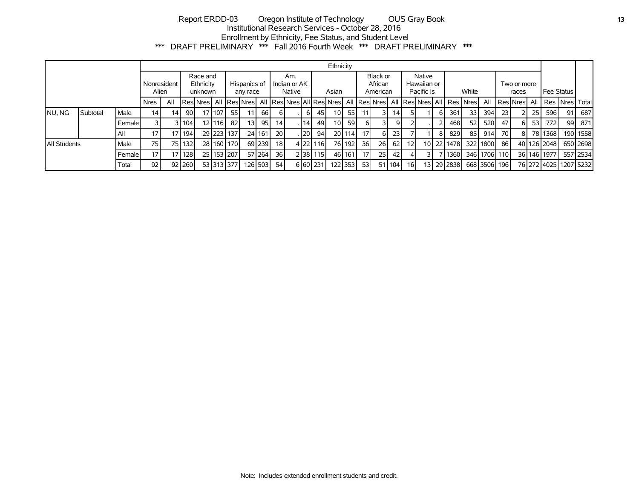# Report ERDD-03 Oregon Institute of Technology OUS Gray Book **13** Institutional Research Services - October 28, 2016 Enrollment by Ethnicity, Fee Status, and Student Level \*\*\* DRAFT PRELIMINARY \*\*\* Fall 2016 Fourth Week \*\*\* DRAFT PRELIMINARY \*\*\*

|              |          |         |                 |                                                          |          |  |                          |                |                               |         |                 |  |           |          | Ethnicity                                           |        |                                     |                 |                 |                 |       |   |                                        |                      |              |            |     |      |             |                                     |          |
|--------------|----------|---------|-----------------|----------------------------------------------------------|----------|--|--------------------------|----------------|-------------------------------|---------|-----------------|--|-----------|----------|-----------------------------------------------------|--------|-------------------------------------|-----------------|-----------------|-----------------|-------|---|----------------------------------------|----------------------|--------------|------------|-----|------|-------------|-------------------------------------|----------|
|              |          |         |                 | Race and<br>Ethnicity<br>Nonresident<br>Alien<br>unknown |          |  | Hispanics of<br>any race |                | Am.<br>Indian or AK<br>Native |         |                 |  | Asian     |          | Black or<br>African<br>American                     |        | Native<br>Hawaiian or<br>Pacific Is |                 |                 |                 | White |   |                                        | Two or more<br>races |              | Fee Status |     |      |             |                                     |          |
|              |          |         | Nres            | All                                                      |          |  |                          |                |                               |         |                 |  |           |          | Res Nres  All  Res Nres  All  Res Nres All Res Nres |        |                                     |                 |                 |                 |       |   | All Res Nres All Res Nres All Res Nres |                      | All          |            |     |      |             | Res Nres   All   Res   Nres   Total |          |
| NU, NG       | Subtotal | Male    | 14 <sub>1</sub> | 14.                                                      | -90 l    |  | 17   107                 | 55             | 11 <sup>1</sup>               | 66 I    | 6 I             |  | 61        | 45       | 10 <sub>1</sub>                                     | 55     |                                     |                 | 14 <sub>1</sub> |                 |       | ь | 361                                    | 33 <sup>1</sup>      | 394          | -231       |     | 25 I | 596         | 91                                  | 687      |
|              |          | Femalel |                 |                                                          | 31104    |  | 12 <b>116</b>            | 82             | 13 <sup>1</sup>               | 95 l    | 141             |  | 14        | 49       | 10 <sup>1</sup>                                     | 59     | 61                                  |                 | 9 <sub>l</sub>  |                 |       |   | 468                                    | 52                   | 520          | 47         | 6 I | -531 | 772         | 99                                  | 871      |
|              |          | All     | 17              |                                                          | 17   194 |  |                          | 29 223 137     |                               | 24 161  | 20 <sup>1</sup> |  | <b>20</b> | 94       |                                                     | 201114 | 17 <sup>1</sup>                     | 6 I             | 23              |                 |       |   | 829                                    | 85                   | 914          | 70 I       | 81  |      | 78 1368     |                                     | 190 1558 |
| All Students |          | Male    | 75 I            |                                                          | 75 132   |  |                          | 28 160 170     |                               | 69 239  | 18 <sup>1</sup> |  |           | 4 22 116 |                                                     | 76 192 | 36I                                 | 26 l            | 62              | 12 <sup>1</sup> |       |   | 10 22 1478                             |                      | 32211800 861 |            |     |      | 40 126 2048 |                                     | 650 2698 |
|              |          | Femalel | 17 <sup>1</sup> |                                                          | 17 128   |  |                          | 25   153   207 |                               | 57 264  | 36 l            |  |           | 2 38 115 |                                                     | 46 161 | 17 <sup>1</sup>                     | 25 <sub>l</sub> | 42              |                 |       |   | 1360                                   |                      | 346 1706 110 |            |     |      | 36 146 1977 |                                     | 557 2534 |
|              |          | Total   | 92              |                                                          | 92 260   |  |                          | 53 313 377     |                               | 126 503 | 54              |  |           | 6 60 231 | 122 353                                             |        | 531                                 |                 | 51 104          | 16 I            |       |   | 13 29 2838                             |                      | 668 3506 196 |            |     |      |             | 76 272 4025 1207 5232               |          |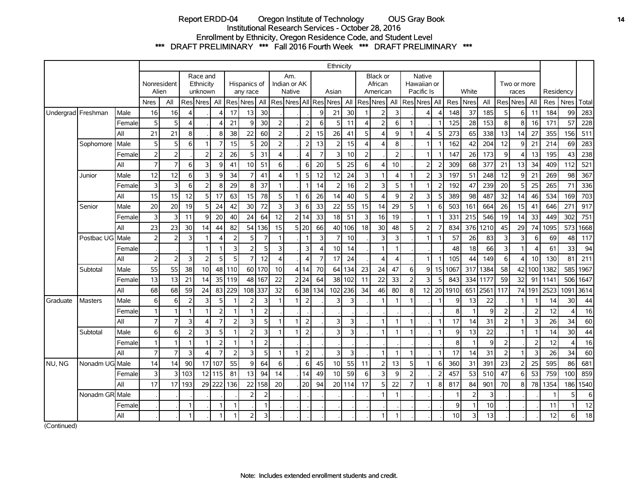# Report ERDD-04 Oregon Institute of Technology OUS Gray Book **14** Institutional Research Services - October 28, 2016 Enrollment by Ethnicity, Oregon Residence Code, and Student Level \*\*\* DRAFT PRELIMINARY \*\*\* Fall 2016 Fourth Week \*\*\* DRAFT PRELIMINARY \*\*\*

|                    |                 |        | Ethnicity            |                  |                                  |                       |                          |                |                 |                               |                         |                         |                |                |                |                                 |                          |                |                                            |                |                |            |      |                      |      |                |           |                 |      |             |       |
|--------------------|-----------------|--------|----------------------|------------------|----------------------------------|-----------------------|--------------------------|----------------|-----------------|-------------------------------|-------------------------|-------------------------|----------------|----------------|----------------|---------------------------------|--------------------------|----------------|--------------------------------------------|----------------|----------------|------------|------|----------------------|------|----------------|-----------|-----------------|------|-------------|-------|
|                    |                 |        | Nonresident<br>Alien |                  | Race and<br>Ethnicity<br>unknown |                       | Hispanics of<br>any race |                |                 | Am.<br>Indian or AK<br>Native |                         |                         | Asian          |                |                | Black or<br>African<br>American |                          |                | <b>Native</b><br>Hawaiian or<br>Pacific Is |                |                | White      |      | Two or more<br>races |      |                | Residency |                 |      |             |       |
|                    |                 |        | <b>Nres</b>          | All              |                                  | Res Nres              | All                      |                | Res Nres   All  |                               |                         | Res  Nres  All   Res    |                |                | <b>Nres</b>    | All                             |                          | Res Nres       | All                                        |                | Res Nres       | <b>All</b> | Res  | <b>Nres</b>          | All  | Res Nres       |           | All             | Res  | <b>Nres</b> | Total |
| Undergrad Freshman |                 | Male   | 16                   | 16               | $\boldsymbol{\Delta}$            |                       | $\Delta$                 | 17             | 13 <sup>1</sup> | 30                            |                         |                         |                | 9              | 21             | 30 <sup>1</sup>                 |                          | $\overline{2}$ | 3                                          |                |                |            | 148  | 37                   | 185  | 5              | 6         | 11              | 184  | 99          | 283   |
|                    |                 | Female | 5                    | 5                | 4                                |                       | Δ                        | 21             | q               | 30                            | $\overline{2}$          |                         | 2              | 6              | 5              | 11                              | Δ                        | $\overline{2}$ | 6                                          |                |                |            | 125  | 28                   | 153  | 8              | 8         | 16              | 171  | 57          | 228   |
|                    |                 | All    | 21                   | 21               | 8                                |                       | 8                        | 38             | 22              | 60                            | $\overline{2}$          |                         | $\overline{2}$ | 15             | 26             | 41                              | 5                        | 4              | 9                                          |                | 4              | 5          | 273  | 65                   | 338  | 13             | 14        | 27              | 355  | 156         | 511   |
|                    | Sophomore       | Male   | 5 <sup>1</sup>       | 5                | 6                                |                       | $\overline{7}$           | 15             | 5               | 20                            | $\overline{2}$          |                         | $\overline{2}$ | 13             | $\overline{2}$ | 15                              | $\boldsymbol{\varDelta}$ | $\overline{4}$ | 8                                          |                |                |            | 162  | 42                   | 204  | 12             | 9         | 21              | 214  | 69          | 283   |
|                    |                 | Female | 2 <sup>1</sup>       | $\overline{2}$   |                                  | $\overline{2}$        | $\overline{2}$           | 26             | 5               | 31                            | $\overline{\mathbf{4}}$ |                         | $\Delta$       | $\overline{7}$ | 3              | 10 <sup>1</sup>                 | $\overline{2}$           |                | $\overline{2}$                             |                | $\mathbf 1$    |            | 147  | 26                   | 173  | 9              | 4         | 13              | 195  | 43          | 238   |
|                    |                 | All    | $\overline{7}$       | $\overline{7}$   | 6                                | $\overline{3}$        | 9                        | 41             | 10 <sup>1</sup> | 51                            | 6                       |                         | 6              | 20             | 5              | 25                              | 6                        | 4              | 10                                         |                | $\overline{2}$ | 2          | 309  | 68                   | 377  | 21             | 13        | 34              | 409  | 112         | 521   |
|                    | Junior          | Male   | 12                   | 12               | 6                                | 3                     | 9                        | 34             | 7               | 41                            | $\overline{\mathbf{4}}$ |                         | 5              | 12             | 12             | 24                              | 3                        | 1              | 4                                          |                | $\overline{2}$ | 3          | 197  | 51                   | 248  | 12             | 9         | 21              | 269  | 98          | 367   |
|                    |                 | Female | 3                    | 3                | 6                                | $\overline{2}$        | 8                        | 29             | 8               | 37                            | $\mathbf{1}$            |                         |                | 14             | $\overline{2}$ | 16                              | $\overline{z}$           | 3              | 5                                          |                |                |            | 192  | 47                   | 239  | 20             | 5         | 25              | 265  | 71          | 336   |
|                    |                 | All    | 15                   | 15               | 12                               | 5                     | 17                       | 63             | 15 <sup>1</sup> | 78                            | 5                       |                         | 6              | 26             | 14             | 40                              | E                        | 4              | $\overline{9}$                             |                | 3              | д          | 389  | 98 <sup>1</sup>      | 487  | 32             | 14        | 46              | 534  | 169         | 703   |
|                    | Senior          | Male   | 20                   | 20               | 19                               | 5                     | 24                       | 42             | 30 <sup>1</sup> | 72                            | 3                       | $\overline{\mathsf{3}}$ | 6              | 33             | 22             | 55                              | 15                       | 14             | 29                                         | 5 <sub>1</sub> |                | 6          | 503  | 161                  | 664  | 26             | 15        | 41              | 646  | 271         | 917   |
|                    |                 | Female | $\overline{3}$       | 3                | 11                               | 9                     | 20                       | 40             | 24              | 64                            | 12                      |                         | 2 14           | 33             | 18             | 51                              |                          | 16             | 19                                         |                | $\mathbf{1}$   |            | 331  | 215                  | 546  | 19             | 14        | 33              | 449  | 302         | 751   |
|                    |                 | All    | 23                   | 23               | 30                               | 14                    | 44                       | 82             |                 | 54 136                        | 15                      |                         | 5 20           | 66             | 40             | 106                             | 18                       | 30             | 48                                         | 5              | $\overline{2}$ |            | 834  | 376                  | 1210 | 45             | 29        | 74              | 1095 | 573         | 1668  |
|                    | Postbac UG Male |        | 2                    | $\overline{2}$   | 3                                |                       | $\Delta$                 | $\overline{2}$ | 5               | 7                             | $\mathbf{1}$            |                         | 1              | $\overline{3}$ | $\overline{7}$ | 10                              |                          | 3              | 3                                          |                |                |            | 57   | 26                   | 83   | $\overline{3}$ | 3         | $6 \mid$        | 69   | 48          | 117   |
|                    |                 | Female |                      |                  |                                  | -1                    | 1                        | 3              | $\overline{2}$  | 5                             | 3                       |                         | 3              | ⊿              | 10             | 14                              |                          | 1              |                                            |                |                |            | 48   | 18                   | 66   | 3              |           |                 | 61   | 33          | 94    |
|                    |                 | All    | $\overline{2}$       | $\overline{2}$   | 3                                | $\overline{2}$        | 5                        | 5              | $\overline{7}$  | 12                            | $\overline{4}$          |                         | $\Delta$       | $\overline{7}$ | 17             | 24                              |                          | 4              | 4                                          |                |                |            | 105  | 44                   | 149  | 6              | 4         | 10 <sup>1</sup> | 130  | 81          | 211   |
|                    | Subtotal        | Male   | 55                   | 55               | 38                               | 10                    | 48                       | 110            |                 | 60 170                        | 10                      | $\overline{4}$          | 14             | 70             | 64             | 134                             | 23                       | 24             | 47                                         | $6 \mid$       | 9              | 15         | 1067 | 317                  | 1384 | 58             | 42        | 100             | 1382 | 585         | 1967  |
|                    |                 | Female | 13                   | 13               | 21                               | 14                    | 35                       | 119            | 48              | 167                           | 22                      |                         | 2 24           | 64             | 38             | 102                             | 11                       | 22             | 33                                         | $\overline{2}$ | 3              |            | 843  | 334                  | 1177 | 59             | 32        | 91              | 1141 | 506         | 1647  |
|                    |                 | All    | 68                   | 68               | 59                               | 24                    | 83                       | 229            | 108 337         |                               | 32                      |                         | 6 38           | 134            | 102            | 236                             | 34                       | 46             | 80                                         | 8              | 12             | 20         | 1910 | 651                  | 2561 | 117            |           | 74 191          | 2523 | 1091        | 3614  |
| Graduate           | <b>Masters</b>  | Male   | $6 \mid$             | 6                | $\overline{2}$                   | 3                     | 5                        | 1              | $\overline{2}$  | 3                             | $\mathbf{1}$            |                         | $\overline{2}$ |                | 3              | 3                               |                          | 1              |                                            |                |                |            | 9    | 13                   | 22   |                |           |                 | 14   | 30          | 44    |
|                    |                 | Female | $\mathbf{1}$         | 1                |                                  |                       | $\overline{2}$           |                |                 | $\overline{2}$                |                         |                         |                |                |                |                                 |                          |                |                                            |                |                |            | 8    |                      | 9    | $\overline{2}$ |           |                 | 12   | $\Delta$    | 16    |
|                    |                 | All    | $\overline{7}$       | $\overline{7}$   | 3                                | $\boldsymbol{\Delta}$ | $\overline{7}$           | $\overline{2}$ | $\overline{3}$  | 5                             | $\mathbf{1}$            |                         | $\overline{2}$ |                | 3              | 3                               |                          | 1              |                                            |                |                |            | 17   | 14                   | 31   | $\overline{2}$ |           | 3               | 26   | 34          | 60    |
|                    | Subtotal        | Male   | $6 \mid$             | $6 \overline{6}$ | $\overline{2}$                   | 3                     | 5                        | 1              | $\overline{2}$  | 3                             | $\mathbf{1}$            |                         | $\overline{2}$ |                | 3              | $\overline{3}$                  |                          | 1              |                                            |                |                |            | 9    | 13                   | 22   |                |           |                 | 14   | 30          | 44    |
|                    |                 | Female | $\overline{1}$       | 1                |                                  | 1                     | $\overline{2}$           | 1              | 1               | $\overline{2}$                |                         |                         |                |                |                |                                 |                          |                |                                            |                |                |            | 8    |                      | 9    | $\overline{2}$ |           | $\mathcal{P}$   | 12   | $\Delta$    | 16    |
|                    |                 | All    | $\overline{7}$       | $\overline{7}$   | 3                                | $\overline{4}$        | $\overline{7}$           | $\overline{2}$ | $\overline{3}$  | 5                             | $\mathbf{1}$            |                         | $\overline{2}$ |                | 3              | 3                               |                          | 1              |                                            |                |                | 1          | 17   | 14                   | 31   | $\overline{2}$ |           | 3               | 26   | 34          | 60    |
| NU, NG             | Nonadm UG Male  |        | 14                   | 14               | 90                               | 17                    | 107                      | 55             | $\overline{9}$  | 64                            | 6                       |                         | 6              | 45             | 10             | 55                              | 11                       | $\overline{2}$ | 13                                         | 5 <sup>1</sup> |                | 6          | 360  | 31                   | 391  | 23             | 2         | 25              | 595  | 86          | 681   |
|                    |                 | Female | $\overline{3}$       | $\overline{3}$   | 103                              |                       | 12 115                   | 81             | 13              | 94                            | 14                      |                         | 14             | 49             | 10             | 59                              | 6                        | 3              | 9                                          | っ              |                |            | 457  | 53                   | 510  | 47             | 6         | 53              | 759  | 100         | 859   |
|                    |                 | All    | 17                   | 17               | 193                              |                       | 29 222                   | 136            | 22              | 158                           | 20                      |                         | 20             | 94             |                | 20 114                          | 17                       | 5              | 22                                         |                |                | 8          | 817  | 84                   | 901  | 70             | 8         | 78              | 1354 | 186         | 1540  |
|                    | Nonadm GR       | Male   |                      |                  |                                  |                       |                          |                | $\overline{2}$  | $\overline{2}$                |                         |                         |                |                |                |                                 |                          | 1              |                                            |                |                |            | -1   | $\overline{2}$       | 3    |                |           |                 |      | 5           | 6     |
|                    |                 | Female |                      |                  | $\mathbf 1$                      |                       | $\mathbf{1}$             | 1              |                 | 1                             |                         |                         |                |                |                |                                 |                          |                |                                            |                |                |            | 9    |                      | 10   |                |           |                 | 11   |             | 12    |
|                    |                 | All    |                      |                  |                                  |                       | 1                        | 1              | $\overline{2}$  | 3                             |                         |                         |                |                |                |                                 |                          | 1              |                                            |                |                |            | 10   | 3                    | 13   |                |           |                 | 12   | 6           | 18    |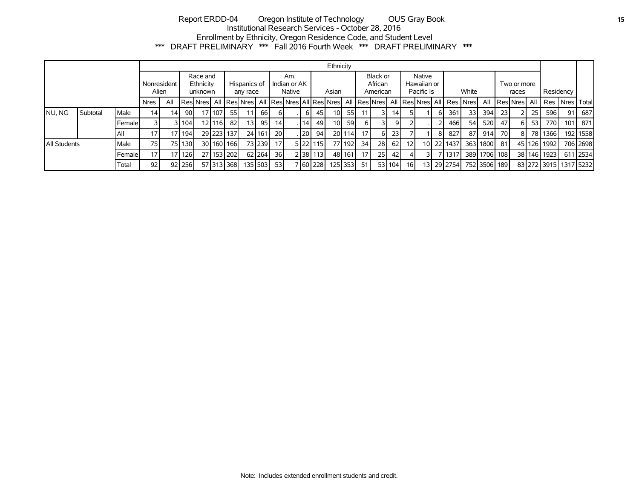# Report ERDD-04 Oregon Institute of Technology OUS Gray Book **15** Institutional Research Services - October 28, 2016 Enrollment by Ethnicity, Oregon Residence Code, and Student Level \*\*\* DRAFT PRELIMINARY \*\*\* Fall 2016 Fourth Week \*\*\* DRAFT PRELIMINARY \*\*\*

|                      |          |             |                 |     |                 |                                  |        |                          |                                 |                               |                 |  |       |            | Ethnicity                       |            |                                     |           |        |            |    |                                                                  |                      |              |      |                |        |             |                       |          |
|----------------------|----------|-------------|-----------------|-----|-----------------|----------------------------------|--------|--------------------------|---------------------------------|-------------------------------|-----------------|--|-------|------------|---------------------------------|------------|-------------------------------------|-----------|--------|------------|----|------------------------------------------------------------------|----------------------|--------------|------|----------------|--------|-------------|-----------------------|----------|
| Nonresident<br>Alien |          |             |                 |     |                 | Race and<br>Ethnicity<br>unknown |        | Hispanics of<br>any race |                                 | Am.<br>Indian or AK<br>Native |                 |  | Asian |            | Black or<br>African<br>American |            | Native<br>Hawaiian or<br>Pacific Is |           | White  |            |    |                                                                  | Two or more<br>races |              |      | Residency      |        |             |                       |          |
|                      |          |             | <b>Nres</b>     | All |                 |                                  |        |                          | Res Nres   All   Res Nres   All |                               |                 |  |       |            |                                 |            |                                     |           |        |            |    | Res Nres All Res Nres  All Res Nres  All Res Nres  All  Res Nres |                      | All          |      | Res Nres   All |        |             | Res   Nres   Total    |          |
| NU, NG               | Subtotal | <b>Male</b> | 14 <sub>1</sub> | 14  | 90 <sub>1</sub> |                                  | 17 107 | 55 I                     |                                 | 66 I                          | 61              |  | ы     | 45         | 10 I                            | <b>551</b> |                                     |           | 14 I   |            |    | 361                                                              | 33 <sup>1</sup>      | 394          | 23   |                | 25     | 596         | 91                    | 687      |
|                      |          | Femalel     |                 |     | 311041          |                                  | 12 116 | -82 I                    | 13 <sup>1</sup>                 | 95 I                          | 14 <sup>1</sup> |  | 14    | 49         | 10 <sup>1</sup>                 | 59         | 61                                  |           | 9١     |            |    | 466 l                                                            | 54                   | 520          | 47   |                | 53     | 770 I       | 101                   | 871      |
|                      |          | All         | 17              |     | 17   194        |                                  |        | 29 223 137               |                                 | 24 161                        | 20              |  | 120   | 94         |                                 | 201114     | 17                                  | 6         | 23     |            |    | 827                                                              | 87 I                 | 914          | 70 I | 81             | 781    | 1366 l      |                       | 192 1558 |
| All Students         |          | Male        | 75 l            |     | 75 130          |                                  |        | 30 160 166               |                                 | 73 239                        | 17 <sup>1</sup> |  |       | 5 22 115   |                                 | 77 192     | 34                                  | <b>28</b> | 62     | 121        |    | 10 22 1437                                                       |                      | 363 1800     | 81   |                | 45 126 | 1992        |                       | 706 2698 |
|                      |          | Femalel     | 17              |     | 17 126          |                                  |        | 27 153 202               |                                 | 62 264                        | 36              |  |       | 2 38 113 1 |                                 | 48 161     | 17 <sup>1</sup>                     | 25        | 42     |            | 31 | /1317                                                            |                      | 389 1706 108 |      |                |        | 38 146 1923 |                       | 611 2534 |
|                      |          | Total       | 92              |     | 92 256          |                                  |        | 57 313 368               | 135 503                         |                               | <b>531</b>      |  |       | 7 60 228   | 125 353                         |            | -51                                 |           | 53 104 | <b>161</b> |    | 13 29 2754                                                       |                      | 752 3506 189 |      |                |        |             | 83 272 3915 1317 5232 |          |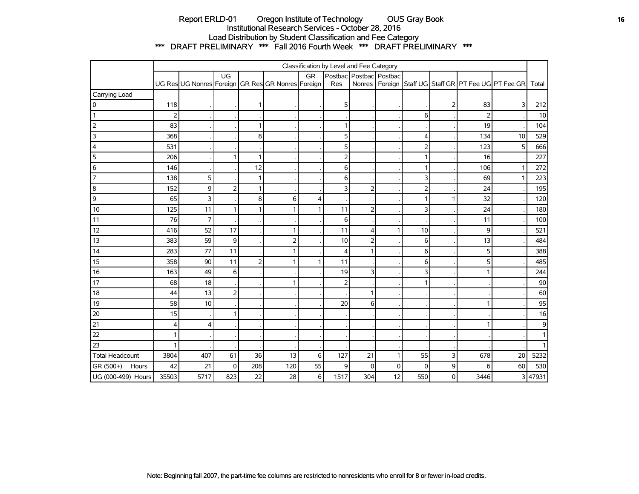# Report ERLD-01 Oregon Institute of Technology OUS Gray Book **16** OUS Gray Book Institutional Research Services - October 28, 2016 Load Distribution by Student Classification and Fee Category \*\*\* DRAFT PRELIMINARY \*\*\* Fall 2016 Fourth Week \*\*\* DRAFT PRELIMINARY \*\*\*

|                        | Classification by Level and Fee Category |                |                |                |                                                   |            |                         |                |              |                |   |                |                                                                |         |
|------------------------|------------------------------------------|----------------|----------------|----------------|---------------------------------------------------|------------|-------------------------|----------------|--------------|----------------|---|----------------|----------------------------------------------------------------|---------|
|                        |                                          |                | UG             |                |                                                   | GR         | Postbac Postbac Postbac |                |              |                |   |                |                                                                |         |
|                        |                                          |                |                |                | UG Res UG Nonres Foreign GR Res GR Nonres Foreign |            | Res                     |                |              |                |   |                | Nonres   Foreign   Staff UG   Staff GR   PT Fee UG   PT Fee GR | Total   |
| Carrying Load          |                                          |                |                |                |                                                   |            |                         |                |              |                |   |                |                                                                |         |
| 0                      | 118                                      |                |                | 1              |                                                   |            | 5                       |                |              |                | 2 | 83             | 3                                                              | 212     |
| $\vert$ 1              | $\overline{2}$                           |                |                |                |                                                   |            |                         |                |              | 6              |   | $\overline{2}$ |                                                                | 10      |
| $\overline{2}$         | 83                                       |                |                | 1              |                                                   |            | 1                       |                |              |                |   | 19             |                                                                | 104     |
| 3                      | 368                                      |                |                | 8              |                                                   |            | 5                       |                |              | $\overline{4}$ |   | 134            | 10                                                             | 529     |
| 4                      | 531                                      |                |                |                |                                                   |            | 5                       |                |              | $\overline{2}$ |   | 123            | 5                                                              | 666     |
| 5                      | 206                                      |                | 1              | 1              |                                                   |            | $\overline{2}$          |                |              |                |   | 16             |                                                                | 227     |
| 6                      | 146                                      |                |                | 12             |                                                   |            | 6                       |                |              | $\mathbf{1}$   |   | 106            | $\mathbf{1}$                                                   | 272     |
| $\overline{7}$         | 138                                      | 5              |                | $\mathbf{1}$   |                                                   |            | 6                       |                |              | 3              |   | 69             | 1                                                              | 223     |
| 8                      | 152                                      | 9              | $\overline{2}$ | 1              |                                                   |            | 3                       | 2              |              | $\overline{2}$ |   | 24             |                                                                | 195     |
| 9                      | 65                                       | 3              |                | 8              | $6 \mid$                                          | 4          |                         |                |              | 1              |   | 32             |                                                                | 120     |
| 10                     | 125                                      | 11             | 1              | 1              |                                                   |            | 11                      | 2              |              | 3              |   | 24             |                                                                | 180     |
| 11                     | 76                                       | $\overline{7}$ |                |                |                                                   |            | 6                       |                |              |                |   | 11             |                                                                | 100     |
| 12                     | 416                                      | 52             | 17             |                |                                                   |            | 11                      | $\overline{4}$ | 1            | 10             |   | 9              |                                                                | 521     |
| 13                     | 383                                      | 59             | 9              |                | $\overline{2}$                                    |            | 10                      | $\overline{2}$ |              | 6              |   | 13             |                                                                | 484     |
| 14                     | 283                                      | 77             | 11             |                | 1                                                 |            | $\overline{4}$          |                |              | 6              |   | 5              |                                                                | 388     |
| 15                     | 358                                      | 90             | 11             | $\overline{2}$ | 1                                                 |            | 11                      |                |              | 6              |   | 5              |                                                                | 485     |
| 16                     | 163                                      | 49             | 6              |                |                                                   |            | 19                      | 3              |              | 3              |   |                |                                                                | 244     |
| 17                     | 68                                       | 18             |                |                |                                                   |            | $\overline{2}$          |                |              |                |   |                |                                                                | $90\,$  |
| 18                     | 44                                       | 13             | $\overline{c}$ |                |                                                   |            |                         |                |              |                |   |                |                                                                | 60      |
| 19                     | 58                                       | 10             |                |                |                                                   |            | 20                      | 6              |              |                |   |                |                                                                | 95      |
| 20                     | 15                                       |                | 1              |                |                                                   |            |                         |                |              |                |   |                |                                                                | 16      |
| 21                     | 4                                        | 4              |                |                |                                                   |            |                         |                |              |                |   |                |                                                                | 9       |
| 22                     |                                          |                |                |                |                                                   |            |                         |                |              |                |   |                |                                                                |         |
| 23                     |                                          |                |                |                |                                                   |            |                         |                |              |                |   |                |                                                                |         |
| <b>Total Headcount</b> | 3804                                     | 407            | 61             | 36             | 13                                                | $\sqrt{6}$ | 127                     | 21             | $\mathbf{1}$ | 55             | 3 | 678            | 20                                                             | 5232    |
| GR (500+)<br>Hours     | 42                                       | 21             | $\mathbf 0$    | 208            | 120                                               | 55         | 9                       | 0              | 0            | $\mathbf 0$    | 9 | 6              | 60                                                             | 530     |
| UG (000-499) Hours     | 35503                                    | 5717           | 823            | 22             | 28                                                | 6          | 1517                    | 304            | 12           | 550            | 0 | 3446           |                                                                | 3 47931 |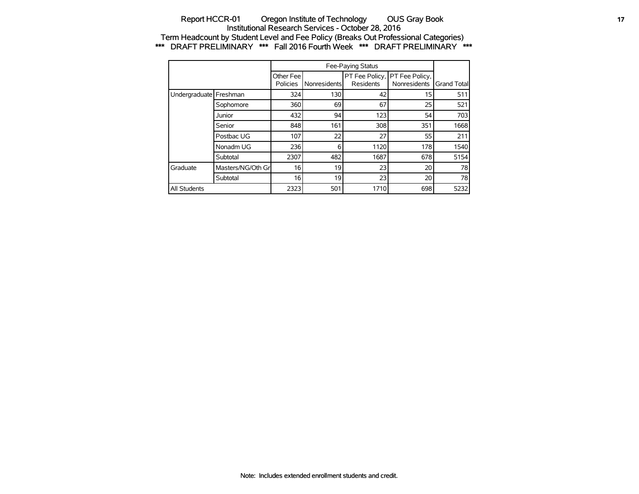### Report HCCR-01 Oregon Institute of Technology OUS Gray Book **17** 17 Institutional Research Services - October 28, 2016 Term Headcount by Student Level and Fee Policy (Breaks Out Professional Categories) \*\*\* DRAFT PRELIMINARY \*\*\* Fall 2016 Fourth Week \*\*\* DRAFT PRELIMINARY \*\*\*

|                          |                   | Other Fee<br>Policies | Nonresidents | <b>Residents</b> | PT Fee Policy, PT Fee Policy,<br>Nonresidents | <b>Grand Totall</b> |
|--------------------------|-------------------|-----------------------|--------------|------------------|-----------------------------------------------|---------------------|
| Undergraduate   Freshman |                   | 324                   | 130          | 42               | 15                                            | 511                 |
|                          | Sophomore         | 360                   | 69           | 67               | 25                                            | 521                 |
|                          | Junior            | 432                   | 94           | 123              | 54                                            | 703                 |
|                          | Senior            | 848                   | 161          | 308              | 351                                           | 1668                |
|                          | Postbac UG        | 107                   | 22           | 27               | 55                                            | 211                 |
|                          | Nonadm UG         | 236                   | 6            | 1120             | 178                                           | 1540                |
|                          | Subtotal          | 2307                  | 482          | 1687             | 678                                           | 5154                |
| Graduate                 | Masters/NG/Oth Gr | 16                    | 19           | 23               | 20                                            | 78                  |
|                          | Subtotal          | 16                    | 19           | 23               | 20                                            | 78                  |
| <b>All Students</b>      |                   | 2323                  | 501          | 1710             | 698                                           | 5232                |